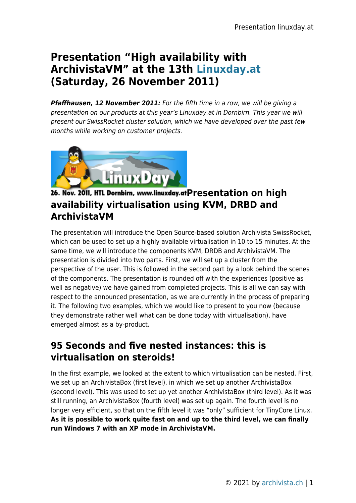## **Presentation "High availability with ArchivistaVM" at the 13th [Linuxday.at](http://www.linuxday.at) (Saturday, 26 November 2011)**

**Pfaffhausen, 12 November 2011:** For the fifth time in a row, we will be giving a presentation on our products at this year's Linuxday.at in Dornbirn. This year we will present our SwissRocket cluster solution, which we have developed over the past few months while working on customer projects.



## 26. Nov. 2011, HTL Dornbirn, www.linuxday.atPresentation on high **availability virtualisation using KVM, DRBD and ArchivistaVM**

The presentation will introduce the Open Source-based solution Archivista SwissRocket, which can be used to set up a highly available virtualisation in 10 to 15 minutes. At the same time, we will introduce the components KVM, DRDB and ArchivistaVM. The presentation is divided into two parts. First, we will set up a cluster from the perspective of the user. This is followed in the second part by a look behind the scenes of the components. The presentation is rounded off with the experiences (positive as well as negative) we have gained from completed projects. This is all we can say with respect to the announced presentation, as we are currently in the process of preparing it. The following two examples, which we would like to present to you now (because they demonstrate rather well what can be done today with virtualisation), have emerged almost as a by-product.

## **95 Seconds and five nested instances: this is virtualisation on steroids!**

In the first example, we looked at the extent to which virtualisation can be nested. First, we set up an ArchivistaBox (first level), in which we set up another ArchivistaBox (second level). This was used to set up yet another ArchivistaBox (third level). As it was still running, an ArchivistaBox (fourth level) was set up again. The fourth level is no longer very efficient, so that on the fifth level it was "only" sufficient for TinyCore Linux. **As it is possible to work quite fast on and up to the third level, we can finally run Windows 7 with an XP mode in ArchivistaVM.**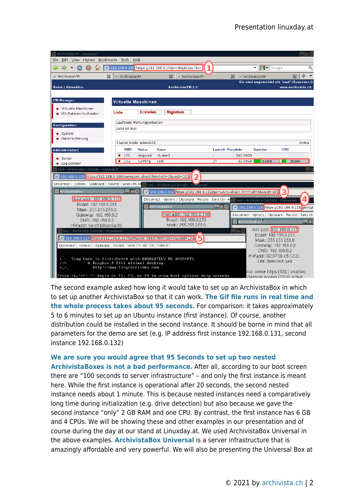

The second example asked how long it would take to set up an ArchivistaBox in which to set up another ArchivistaBox so that it can work. **[The Gif file runs in real time and](http://www.archivista.ch/de/media/avvm2/avvm12.gif) [the whole process takes about 95 seconds.](http://www.archivista.ch/de/media/avvm2/avvm12.gif)** For comparison: it takes approximately 5 to 6 minutes to set up an Ubuntu instance (first instance). Of course, another distribution could be installed in the second instance. It should be borne in mind that all parameters for the demo are set (e.g. IP address first instance 192.168.0.131, second instance 192.168.0.132)

## **[We are sure you would agree that 95 Seconds to set up two nested](http://www.archivista.ch/de/media/avvm2/avvm12.gif)**

**[ArchivistaBoxes is not a bad performance.](http://www.archivista.ch/de/media/avvm2/avvm12.gif)** After all, according to our boot screen there are "100 seconds to server infrastructure" – and only the first instance is meant here. While the first instance is operational after 20 seconds, the second nested instance needs about 1 minute. This is because nested instances need a comparatively long time during initialization (e.g. drive detection) but also because we gave the second instance "only" 2 GB RAM and one CPU. By contrast, the first instance has 6 GB and 4 CPUs. We will be showing these and other examples in our presentation and of course during the day at our stand at Linuxday.at. We used ArchivistaBox Universal in the above examples. **[ArchivistaBox Universal](https://archivista.ch/cms/?page_id=207)** is a server infrastructure that is amazingly affordable and very powerful. We will also be presenting the Universal Box at